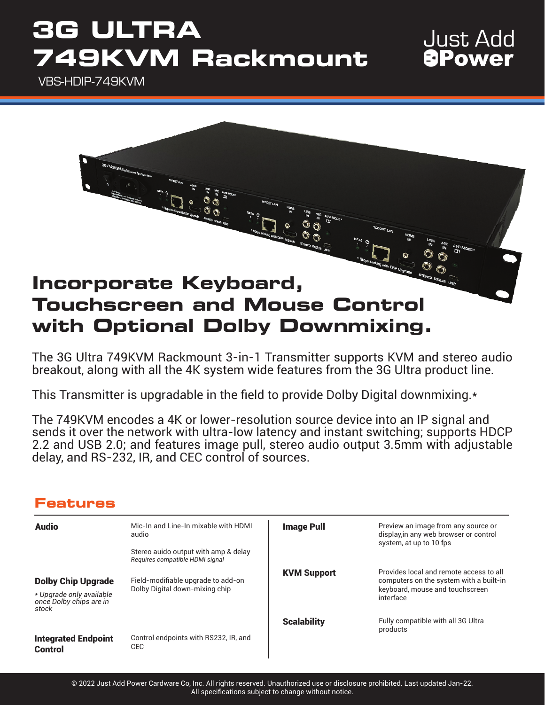## **3G ULTRA 749KVM Rackmount**

### VBS-HDIP-749KVM



**Just Add** *<u>APower</u>* 

The 3G Ultra 749KVM Rackmount 3-in-1 Transmitter supports KVM and stereo audio breakout, along with all the 4K system wide features from the 3G Ultra product line.

This Transmitter is upgradable in the field to provide Dolby Digital downmixing.\*

The 749KVM encodes a 4K or lower-resolution source device into an IP signal and sends it over the network with ultra-low latency and instant switching; supports HDCP 2.2 and USB 2.0; and features image pull, stereo audio output 3.5mm with adjustable delay, and RS-232, IR, and CEC control of sources.

### **Features**

| <b>Audio</b>                                                                              | Mic-In and Line-In mixable with HDMI<br>audio<br>Stereo auido output with amp & delay<br>Requires compatible HDMI signal | <b>Image Pull</b>  | Preview an image from any source or<br>display, in any web browser or control<br>system, at up to 10 fps                           |
|-------------------------------------------------------------------------------------------|--------------------------------------------------------------------------------------------------------------------------|--------------------|------------------------------------------------------------------------------------------------------------------------------------|
| <b>Dolby Chip Upgrade</b><br>* Upgrade only available<br>once Dolby chips are in<br>stock | Field-modifiable upgrade to add-on<br>Dolby Digital down-mixing chip                                                     | <b>KVM Support</b> | Provides local and remote access to all<br>computers on the system with a built-in<br>keyboard, mouse and touchscreen<br>interface |
|                                                                                           |                                                                                                                          | <b>Scalability</b> | Fully compatible with all 3G Ultra<br>products                                                                                     |
| <b>Integrated Endpoint</b><br><b>Control</b>                                              | Control endpoints with RS232, IR, and<br><b>CEC</b>                                                                      |                    |                                                                                                                                    |